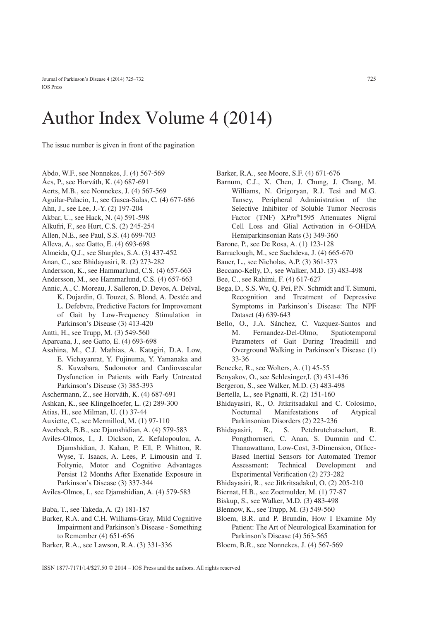## Author Index Volume 4 (2014)

The issue number is given in front of the pagination

- Abdo, W.F., see Nonnekes, J. (4) 567-569
- Ács, P., see Horváth, K. (4) 687-691
- Aerts, M.B., see Nonnekes, J. (4) 567-569
- Aguilar-Palacio, I., see Gasca-Salas, C. (4) 677-686
- Ahn, J., see Lee, J.-Y. (2) 197-204
- Akbar, U., see Hack, N. (4) 591-598
- Alkufri, F., see Hurt, C.S. (2) 245-254
- Allen, N.E., see Paul, S.S. (4) 699-703
- Alleva, A., see Gatto, E. (4) 693-698
- Almeida, Q.J., see Sharples, S.A. (3) 437-452
- Anan, C., see Bhidayasiri, R. (2) 273-282
- Andersson, K., see Hammarlund, C.S. (4) 657-663
- Andersson, M., see Hammarlund, C.S. (4) 657-663
- Annic, A., C. Moreau, J. Salleron, D. Devos, A. Delval, K. Dujardin, G. Touzet, S. Blond, A. Destée and L. Defebvre, Predictive Factors for Improvement of Gait by Low-Frequency Stimulation in Parkinson's Disease (3) 413-420
- Antti, H., see Trupp, M. (3) 549-560
- Aparcana, J., see Gatto, E. (4) 693-698
- Asahina, M., C.J. Mathias, A. Katagiri, D.A. Low, E. Vichayanrat, Y. Fujinuma, Y. Yamanaka and S. Kuwabara, Sudomotor and Cardiovascular Dysfunction in Patients with Early Untreated Parkinson's Disease (3) 385-393
- Aschermann, Z., see Horváth, K. (4) 687-691
- Ashkan, K., see Klingelhoefer, L. (2) 289-300
- Atias, H., see Milman, U. (1) 37-44
- Auxiette, C., see Mermillod, M. (1) 97-110
- Averbeck, B.B., see Djamshidian, A. (4) 579-583
- Aviles-Olmos, I., J. Dickson, Z. Kefalopoulou, A. Djamshidian, J. Kahan, P. Ell, P. Whitton, R. Wyse, T. Isaacs, A. Lees, P. Limousin and T. Foltynie, Motor and Cognitive Advantages Persist 12 Months After Exenatide Exposure in Parkinson's Disease (3) 337-344
- Aviles-Olmos, I., see Djamshidian, A. (4) 579-583
- Baba, T., see Takeda, A. (2) 181-187
- Barker, R.A. and C.H. Williams-Gray, Mild Cognitive Impairment and Parkinson's Disease - Something to Remember (4) 651-656
- Barker, R.A., see Lawson, R.A. (3) 331-336
- Barker, R.A., see Moore, S.F. (4) 671-676
- Barnum, C.J., X. Chen, J. Chung, J. Chang, M. Williams, N. Grigoryan, R.J. Tesi and M.G. Tansey, Peripheral Administration of the Selective Inhibitor of Soluble Tumor Necrosis Factor (TNF) XPro®1595 Attenuates Nigral Cell Loss and Glial Activation in 6-OHDA Hemiparkinsonian Rats (3) 349-360
- Barone, P., see De Rosa, A. (1) 123-128
- Barraclough, M., see Sachdeva, J. (4) 665-670
- Bauer, L., see Nicholas, A.P. (3) 361-373
- Beccano-Kelly, D., see Walker, M.D. (3) 483-498
- Bee, C., see Rahimi, F. (4) 617-627
- Bega, D., S.S. Wu, Q. Pei, P.N. Schmidt and T. Simuni, Recognition and Treatment of Depressive Symptoms in Parkinson's Disease: The NPF Dataset (4) 639-643
- Bello, O., J.A. Sánchez, C. Vazquez-Santos and M. Fernandez-Del-Olmo, Spatiotemporal Parameters of Gait During Treadmill and Overground Walking in Parkinson's Disease (1) 33-36
- Benecke, R., see Wolters, A. (1) 45-55
- Benyakov, O., see Schlesinger,I. (3) 431-436
- Bergeron, S., see Walker, M.D. (3) 483-498
- Bertella, L., see Pignatti, R. (2) 151-160
- Bhidayasiri, R., O. Jitkritsadakul and C. Colosimo, Nocturnal Manifestations of Atypical Parkinsonian Disorders (2) 223-236
- Bhidayasiri, R., S. Petchrutchatachart, R. Pongthornseri, C. Anan, S. Dumnin and C. Thanawattano, Low-Cost, 3-Dimension, Office-Based Inertial Sensors for Automated Tremor Assessment: Technical Development and Experimental Verification (2) 273-282
- Bhidayasiri, R., see Jitkritsadakul, O. (2) 205-210
- Biernat, H.B., see Zoetmulder, M. (1) 77-87
- Biskup, S., see Walker, M.D. (3) 483-498
- Blennow, K., see Trupp, M. (3) 549-560
- Bloem, B.R. and P. Brundin, How I Examine My Patient: The Art of Neurological Examination for Parkinson's Disease (4) 563-565
- Bloem, B.R., see Nonnekes, J. (4) 567-569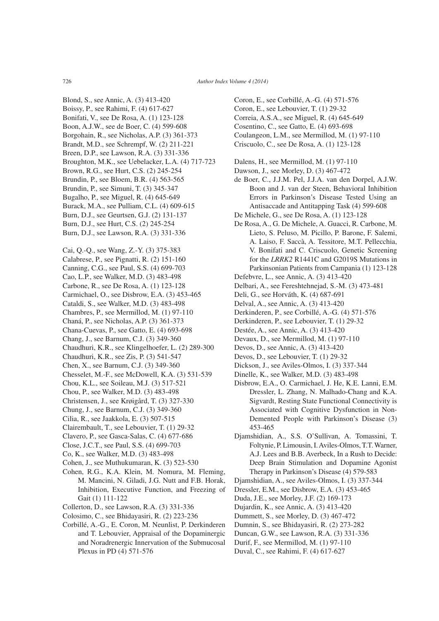Blond, S., see Annic, A. (3) 413-420 Boissy, P., see Rahimi, F. (4) 617-627 Bonifati, V., see De Rosa, A. (1) 123-128 Boon, A.J.W., see de Boer, C. (4) 599-608 Borgohain, R., see Nicholas, A.P. (3) 361-373 Brandt, M.D., see Schrempf, W. (2) 211-221 Breen, D.P., see Lawson, R.A. (3) 331-336 Broughton, M.K., see Uebelacker, L.A. (4) 717-723 Brown, R.G., see Hurt, C.S. (2) 245-254 Brundin, P., see Bloem, B.R. (4) 563-565 Brundin, P., see Simuni, T. (3) 345-347 Bugalho, P., see Miguel, R. (4) 645-649 Burack, M.A., see Pulliam, C.L. (4) 609-615 Burn, D.J., see Geurtsen, G.J. (2) 131-137 Burn, D.J., see Hurt, C.S. (2) 245-254 Burn, D.J., see Lawson, R.A. (3) 331-336 Cai, Q.-Q., see Wang, Z.-Y. (3) 375-383 Calabrese, P., see Pignatti, R. (2) 151-160 Canning, C.G., see Paul, S.S. (4) 699-703 Cao, L.P., see Walker, M.D. (3) 483-498 Carbone, R., see De Rosa, A. (1) 123-128 Carmichael, O., see Disbrow, E.A. (3) 453-465 Cataldi, S., see Walker, M.D. (3) 483-498 Chambres, P., see Mermillod, M. (1) 97-110 Chaná, P., see Nicholas, A.P. (3) 361-373 Chana-Cuevas, P., see Gatto, E. (4) 693-698 Chang, J., see Barnum, C.J. (3) 349-360 Chaudhuri, K.R., see Klingelhoefer, L. (2) 289-300 Chaudhuri, K.R., see Zis, P. (3) 541-547 Chen, X., see Barnum, C.J. (3) 349-360 Chesselet, M.-F., see McDowell, K.A. (3) 531-539 Chou, K.L., see Soileau, M.J. (3) 517-521 Chou, P., see Walker, M.D. (3) 483-498 Christensen, J., see Krøigård, T. (3) 327-330 Chung, J., see Barnum, C.J. (3) 349-360 Cilia, R., see Jaakkola, E. (3) 507-515 Clairembault, T., see Lebouvier, T. (1) 29-32 Clavero, P., see Gasca-Salas, C. (4) 677-686 Close, J.C.T., see Paul, S.S. (4) 699-703 Co, K., see Walker, M.D. (3) 483-498 Cohen, J., see Muthukumaran, K. (3) 523-530 Cohen, R.G., K.A. Klein, M. Nomura, M. Fleming, M. Mancini, N. Giladi, J.G. Nutt and F.B. Horak, Inhibition, Executive Function, and Freezing of Gait (1) 111-122 Collerton, D., see Lawson, R.A. (3) 331-336 Colosimo, C., see Bhidayasiri, R. (2) 223-236 Corbillé, A.-G., E. Coron, M. Neunlist, P. Derkinderen and T. Lebouvier, Appraisal of the Dopaminergic and Noradrenergic Innervation of the Submucosal

Plexus in PD (4) 571-576

- Coron, E., see Corbillé, A.-G. (4) 571-576 Coron, E., see Lebouvier, T. (1) 29-32 Correia, A.S.A., see Miguel, R. (4) 645-649 Cosentino, C., see Gatto, E. (4) 693-698 Coulangeon, L.M., see Mermillod, M. (1) 97-110 Criscuolo, C., see De Rosa, A. (1) 123-128
- Dalens, H., see Mermillod, M. (1) 97-110
- Dawson, J., see Morley, D. (3) 467-472
- de Boer, C., J.J.M. Pel, J.J.A. van den Dorpel, A.J.W. Boon and J. van der Steen, Behavioral Inhibition Errors in Parkinson's Disease Tested Using an Antisaccade and Antitapping Task (4) 599-608
- De Michele, G., see De Rosa, A. (1) 123-128
- De Rosa, A., G. De Michele, A. Guacci, R. Carbone, M. Lieto, S. Peluso, M. Picillo, P. Barone, F. Salemi, A. Laiso, F. Saccà, A. Tessitore, M.T. Pellecchia, V. Bonifati and C. Criscuolo, Genetic Screening for the *LRRK2* R1441C and G2019S Mutations in Parkinsonian Patients from Campania (1) 123-128
- Defebvre, L., see Annic, A. (3) 413-420
- Delbari, A., see Fereshtehnejad, S.-M. (3) 473-481
- Deli, G., see Horváth, K. (4) 687-691
- Delval, A., see Annic, A. (3) 413-420
- Derkinderen, P., see Corbillé, A.-G. (4) 571-576
- Derkinderen, P., see Lebouvier, T. (1) 29-32
- Destée, A., see Annic, A. (3) 413-420
- Devaux, D., see Mermillod, M. (1) 97-110
- Devos, D., see Annic, A. (3) 413-420
- Devos, D., see Lebouvier, T. (1) 29-32
- Dickson, J., see Aviles-Olmos, I. (3) 337-344
- Dinelle, K., see Walker, M.D. (3) 483-498
- Disbrow, E.A., O. Carmichael, J. He, K.E. Lanni, E.M. Dressler, L. Zhang, N. Malhado-Chang and K.A. Sigvardt, Resting State Functional Connectivity is Associated with Cognitive Dysfunction in Non-Demented People with Parkinson's Disease (3) 453-465
- Djamshidian, A., S.S. O'Sullivan, A. Tomassini, T. Foltynie, P. Limousin, I. Aviles-Olmos, T.T. Warner, A.J. Lees and B.B. Averbeck, In a Rush to Decide: Deep Brain Stimulation and Dopamine Agonist Therapy in Parkinson's Disease (4) 579-583
- Djamshidian, A., see Aviles-Olmos, I. (3) 337-344
- Dressler, E.M., see Disbrow, E.A. (3) 453-465
- Duda, J.E., see Morley, J.F. (2) 169-173
- Dujardin, K., see Annic, A. (3) 413-420
- Dummett, S., see Morley, D. (3) 467-472
- Dumnin, S., see Bhidayasiri, R. (2) 273-282
- Duncan, G.W., see Lawson, R.A. (3) 331-336
- Durif, F., see Mermillod, M. (1) 97-110
- Duval, C., see Rahimi, F. (4) 617-627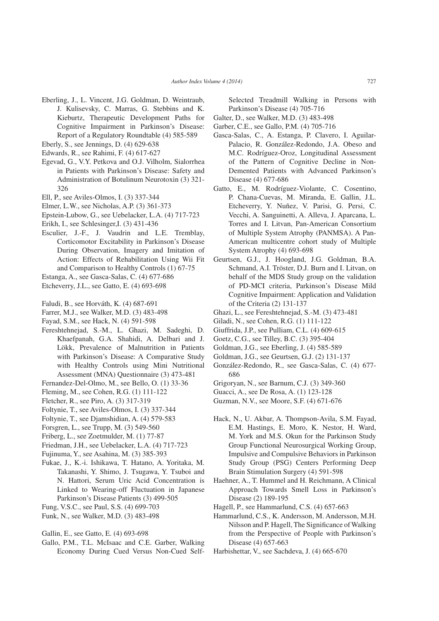- Eberling, J., L. Vincent, J.G. Goldman, D. Weintraub, J. Kulisevsky, C. Marras, G. Stebbins and K. Kieburtz, Therapeutic Development Paths for Cognitive Impairment in Parkinson's Disease: Report of a Regulatory Roundtable (4) 585-589
- Eberly, S., see Jennings, D. (4) 629-638
- Edwards, R., see Rahimi, F. (4) 617-627
- Egevad, G., V.Y. Petkova and O.J. Vilholm, Sialorrhea in Patients with Parkinson's Disease: Safety and Administration of Botulinum Neurotoxin (3) 321- 326
- Ell, P., see Aviles-Olmos, I. (3) 337-344
- Elmer, L.W., see Nicholas, A.P. (3) 361-373
- Epstein-Lubow, G., see Uebelacker, L.A. (4) 717-723
- Erikh, I., see Schlesinger,I. (3) 431-436
- Esculier, J.-F., J. Vaudrin and L.E. Tremblay, Corticomotor Excitability in Parkinson's Disease During Observation, Imagery and Imitation of Action: Effects of Rehabilitation Using Wii Fit and Comparison to Healthy Controls (1) 67-75
- Estanga, A., see Gasca-Salas, C. (4) 677-686
- Etcheverry, J.L., see Gatto, E. (4) 693-698
- Faludi, B., see Horváth, K. (4) 687-691
- Farrer, M.J., see Walker, M.D. (3) 483-498
- Fayad, S.M., see Hack, N. (4) 591-598
- Fereshtehnejad, S.-M., L. Ghazi, M. Sadeghi, D. Khaefpanah, G.A. Shahidi, A. Delbari and J. Lökk, Prevalence of Malnutrition in Patients with Parkinson's Disease: A Comparative Study with Healthy Controls using Mini Nutritional Assessment (MNA) Questionnaire (3) 473-481
- Fernandez-Del-Olmo, M., see Bello, O. (1) 33-36
- Fleming, M., see Cohen, R.G. (1) 111-122
- Fletcher, R., see Piro, A. (3) 317-319
- Foltynie, T., see Aviles-Olmos, I. (3) 337-344
- Foltynie, T., see Djamshidian, A. (4) 579-583
- Forsgren, L., see Trupp, M. (3) 549-560
- Friberg, L., see Zoetmulder, M. (1) 77-87
- Friedman, J.H., see Uebelacker, L.A. (4) 717-723
- Fujinuma, Y., see Asahina, M. (3) 385-393
- Fukae, J., K.-i. Ishikawa, T. Hatano, A. Yoritaka, M. Takanashi, Y. Shimo, J. Tsugawa, Y. Tsuboi and N. Hattori, Serum Uric Acid Concentration is Linked to Wearing-off Fluctuation in Japanese Parkinson's Disease Patients (3) 499-505
- Fung, V.S.C., see Paul, S.S. (4) 699-703
- Funk, N., see Walker, M.D. (3) 483-498
- Gallin, E., see Gatto, E. (4) 693-698
- Gallo, P.M., T.L. McIsaac and C.E. Garber, Walking Economy During Cued Versus Non-Cued Self-

Selected Treadmill Walking in Persons with Parkinson's Disease (4) 705-716

- Galter, D., see Walker, M.D. (3) 483-498
- Garber, C.E., see Gallo, P.M. (4) 705-716
- Gasca-Salas, C., A. Estanga, P. Clavero, I. Aguilar-Palacio, R. González-Redondo, J.A. Obeso and M.C. Rodríguez-Oroz, Longitudinal Assessment of the Pattern of Cognitive Decline in Non-Demented Patients with Advanced Parkinson's Disease (4) 677-686
- Gatto, E., M. Rodríguez-Violante, C. Cosentino, P. Chana-Cuevas, M. Miranda, E. Gallin, J.L. Etcheverry, Y. Nuñez, V. Parisi, G. Persi, C. Vecchi, A. Sanguinetti, A. Alleva, J. Aparcana, L. Torres and I. Litvan, Pan-American Consortium of Multiple System Atrophy (PANMSA). A Pan-American multicentre cohort study of Multiple System Atrophy (4) 693-698
- Geurtsen, G.J., J. Hoogland, J.G. Goldman, B.A. Schmand, A.I. Tröster, D.J. Burn and I. Litvan, on behalf of the MDS Study group on the validation of PD-MCI criteria, Parkinson's Disease Mild Cognitive Impairment: Application and Validation of the Criteria (2) 131-137
- Ghazi, L., see Fereshtehnejad, S.-M. (3) 473-481
- Giladi, N., see Cohen, R.G. (1) 111-122
- Giuffrida, J.P., see Pulliam, C.L. (4) 609-615
- Goetz, C.G., see Tilley, B.C. (3) 395-404
- Goldman, J.G., see Eberling, J. (4) 585-589
- Goldman, J.G., see Geurtsen, G.J. (2) 131-137
- González-Redondo, R., see Gasca-Salas, C. (4) 677- 686
- Grigoryan, N., see Barnum, C.J. (3) 349-360
- Guacci, A., see De Rosa, A. (1) 123-128
- Guzman, N.V., see Moore, S.F. (4) 671-676
- Hack, N., U. Akbar, A. Thompson-Avila, S.M. Fayad, E.M. Hastings, E. Moro, K. Nestor, H. Ward, M. York and M.S. Okun for the Parkinson Study Group Functional Neurosurgical Working Group, Impulsive and Compulsive Behaviors in Parkinson Study Group (PSG) Centers Performing Deep Brain Stimulation Surgery (4) 591-598
- Haehner, A., T. Hummel and H. Reichmann, A Clinical Approach Towards Smell Loss in Parkinson's Disease (2) 189-195
- Hagell, P., see Hammarlund, C.S. (4) 657-663
- Hammarlund, C.S., K. Andersson, M. Andersson, M.H. Nilsson and P. Hagell, The Significance of Walking from the Perspective of People with Parkinson's Disease (4) 657-663
- Harbishettar, V., see Sachdeva, J. (4) 665-670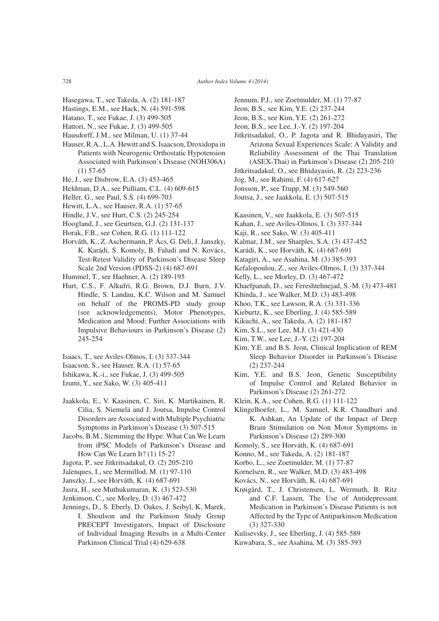- Hasegawa, T., see Takeda, A. (2) 181-187
- Hastings, E.M., see Hack, N. (4) 591-598
- Hatano, T., see Fukae, J. (3) 499-505
- Hattori, N., see Fukae, J. (3) 499-505
- Hausdorff, J.M., see Milman, U. (1) 37-44
- Hauser, R.A., L.A. Hewitt and S. Isaacson, Droxidopa in Patients with Neurogenic Orthostatic Hypotension Associated with Parkinson's Disease (NOH306A) (1) 57-65
- He, J., see Disbrow, E.A. (3) 453-465
- Heldman, D.A., see Pulliam, C.L. (4) 609-615
- Heller, G., see Paul, S.S. (4) 699-703
- Hewitt, L.A., see Hauser, R.A. (1) 57-65
- Hindle, J.V., see Hurt, C.S. (2) 245-254
- Hoogland, J., see Geurtsen, G.J. (2) 131-137
- Horak, F.B., see Cohen, R.G. (1) 111-122
- Horváth, K., Z. Aschermann, P. Ács, G. Deli, J. Janszky, K. Karádi, S. Komoly, B. Faludi and N. Kovács, Test-Retest Validity of Parkinson's Disease Sleep Scale 2nd Version (PDSS-2) (4) 687-691
- Hummel, T., see Haehner, A. (2) 189-195
- Hurt, C.S., F. Alkufri, R.G. Brown, D.J. Burn, J.V. Hindle, S. Landau, K.C. Wilson and M. Samuel on behalf of the PROMS-PD study group (see acknowledgements), Motor Phenotypes, Medication and Mood: Further Associations with Impulsive Behaviours in Parkinson's Disease (2) 245-254
- Isaacs, T., see Aviles-Olmos, I. (3) 337-344
- Isaacson, S., see Hauser, R.A. (1) 57-65
- Ishikawa, K.-i., see Fukae, J. (3) 499-505
- Izumi, Y., see Sako, W. (3) 405-411
- Jaakkola, E., V. Kaasinen, C. Siri, K. Martikainen, R. Cilia, S. Niemelä and J. Joutsa, Impulse Control Disorders are Associated with Multiple Psychiatric Symptoms in Parkinson's Disease (3) 507-515
- Jacobs, B.M., Stemming the Hype: What Can We Learn from iPSC Models of Parkinson's Disease and How Can We Learn It? (1) 15-27
- Jagota, P., see Jitkritsadakul, O. (2) 205-210
- Jalenques, I., see Mermillod, M. (1) 97-110
- Janszky, J., see Horváth, K. (4) 687-691
- Jasra, H., see Muthukumaran, K. (3) 523-530
- Jenkinson, C., see Morley, D. (3) 467-472
- Jennings, D., S. Eberly, D. Oakes, J. Seibyl, K. Marek, I. Shoulson and the Parkinson Study Group PRECEPT Investigators, Impact of Disclosure of Individual Imaging Results in a Multi-Center Parkinson Clinical Trial (4) 629-638
- Jennum, P.J., see Zoetmulder, M. (1) 77-87
- Jeon, B.S., see Kim, Y.E. (2) 237-244
- Jeon, B.S., see Kim, Y.E. (2) 261-272
- Jeon, B.S., see Lee, J.-Y. (2) 197-204
- Jitkritsadakul, O., P. Jagota and R. Bhidayasiri, The Arizona Sexual Experiences Scale: A Validity and Reliability Assessment of the Thai Translation (ASEX-Thai) in Parkinson's Disease (2) 205-210
- Jitkritsadakul, O., see Bhidayasiri, R. (2) 223-236
- Jog, M., see Rahimi, F. (4) 617-627
- Jonsson, P., see Trupp, M. (3) 549-560
- Joutsa, J., see Jaakkola, E. (3) 507-515
- Kaasinen, V., see Jaakkola, E. (3) 507-515
- Kahan, J., see Aviles-Olmos, I. (3) 337-344
- Kaji, R., see Sako, W. (3) 405-411
- Kalmar, J.M., see Sharples, S.A. (3) 437-452
- Karádi, K., see Horváth, K. (4) 687-691
- Katagiri, A., see Asahina, M. (3) 385-393
- Kefalopoulou, Z., see Aviles-Olmos, I. (3) 337-344
- Kelly, L., see Morley, D. (3) 467-472
- Khaefpanah, D., see Fereshtehnejad, S.-M. (3) 473-481
- Khinda, J., see Walker, M.D. (3) 483-498
- Khoo, T.K., see Lawson, R.A. (3) 331-336
- Kieburtz, K., see Eberling, J. (4) 585-589
- Kikuchi, A., see Takeda, A. (2) 181-187
- Kim, S.L., see Lee, M.J. (3) 421-430
- Kim, T.W., see Lee, J.-Y. (2) 197-204
- Kim, Y.E. and B.S. Jeon, Clinical Implication of REM Sleep Behavior Disorder in Parkinson's Disease (2) 237-244
- Kim, Y.E. and B.S. Jeon, Genetic Susceptibility of Impulse Control and Related Behavior in Parkinson's Disease (2) 261-272
- Klein, K.A., see Cohen, R.G. (1) 111-122
- Klingelhoefer, L., M. Samuel, K.R. Chaudhuri and K. Ashkan, An Update of the Impact of Deep Brain Stimulation on Non Motor Symptoms in Parkinson's Disease (2) 289-300
- Komoly, S., see Horváth, K. (4) 687-691
- Konno, M., see Takeda, A. (2) 181-187
- Korbo, L., see Zoetmulder, M. (1) 77-87
- Kornelsen, R., see Walker, M.D. (3) 483-498
- Kovács, N., see Horváth, K. (4) 687-691
- Krøigård, T., J. Christensen, L. Wermuth, B. Ritz and C.F. Lassen, The Use of Antidepressant Medication in Parkinson's Disease Patients is not Affected by the Type of Antiparkinson Medication (3) 327-330
- Kulisevsky, J., see Eberling, J. (4) 585-589
- Kuwabara, S., see Asahina, M. (3) 385-393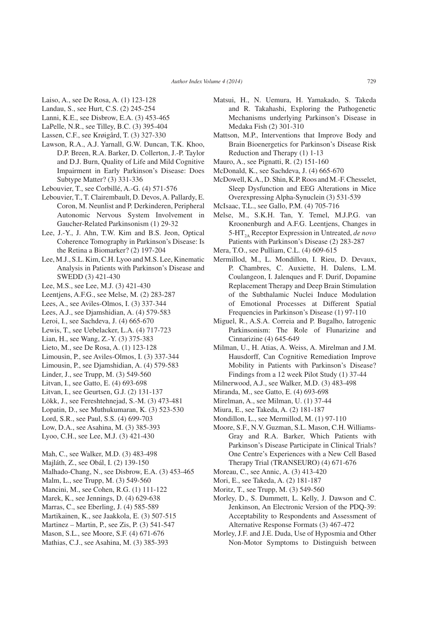- Laiso, A., see De Rosa, A. (1) 123-128
- Landau, S., see Hurt, C.S. (2) 245-254
- Lanni, K.E., see Disbrow, E.A. (3) 453-465
- LaPelle, N.R., see Tilley, B.C. (3) 395-404
- Lassen, C.F., see Krøigård, T. (3) 327-330
- Lawson, R.A., A.J. Yarnall, G.W. Duncan, T.K. Khoo, D.P. Breen, R.A. Barker, D. Collerton, J.-P. Taylor and D.J. Burn, Quality of Life and Mild Cognitive Impairment in Early Parkinson's Disease: Does Subtype Matter? (3) 331-336
- Lebouvier, T., see Corbillé, A.-G. (4) 571-576
- Lebouvier, T., T. Clairembault, D. Devos, A. Pallardy, E. Coron, M. Neunlist and P. Derkinderen, Peripheral Autonomic Nervous System Involvement in Gaucher-Related Parkinsonism (1) 29-32
- Lee, J.-Y., J. Ahn, T.W. Kim and B.S. Jeon, Optical Coherence Tomography in Parkinson's Disease: Is the Retina a Biomarker? (2) 197-204
- Lee, M.J., S.L. Kim, C.H. Lyoo and M.S. Lee, Kinematic Analysis in Patients with Parkinson's Disease and SWEDD (3) 421-430
- Lee, M.S., see Lee, M.J. (3) 421-430
- Leentjens, A.F.G., see Melse, M. (2) 283-287
- Lees, A., see Aviles-Olmos, I. (3) 337-344
- Lees, A.J., see Djamshidian, A. (4) 579-583
- Leroi, I., see Sachdeva, J. (4) 665-670
- Lewis, T., see Uebelacker, L.A. (4) 717-723
- Lian, H., see Wang, Z.-Y. (3) 375-383
- Lieto, M., see De Rosa, A. (1) 123-128
- Limousin, P., see Aviles-Olmos, I. (3) 337-344
- Limousin, P., see Djamshidian, A. (4) 579-583
- Linder, J., see Trupp, M. (3) 549-560
- Litvan, I., see Gatto, E. (4) 693-698
- Litvan, I., see Geurtsen, G.J. (2) 131-137
- Lökk, J., see Fereshtehnejad, S.-M. (3) 473-481
- Lopatin, D., see Muthukumaran, K. (3) 523-530
- Lord, S.R., see Paul, S.S. (4) 699-703
- Low, D.A., see Asahina, M. (3) 385-393
- Lyoo, C.H., see Lee, M.J. (3) 421-430
- Mah, C., see Walker, M.D. (3) 483-498
- Majláth, Z., see Obál, I. (2) 139-150
- Malhado-Chang, N., see Disbrow, E.A. (3) 453-465
- Malm, L., see Trupp, M. (3) 549-560
- Mancini, M., see Cohen, R.G. (1) 111-122
- Marek, K., see Jennings, D. (4) 629-638
- Marras, C., see Eberling, J. (4) 585-589
- Martikainen, K., see Jaakkola, E. (3) 507-515
- Martinez Martin, P., see Zis, P. (3) 541-547
- Mason, S.L., see Moore, S.F. (4) 671-676
- Mathias, C.J., see Asahina, M. (3) 385-393
- Matsui, H., N. Uemura, H. Yamakado, S. Takeda and R. Takahashi, Exploring the Pathogenetic Mechanisms underlying Parkinson's Disease in Medaka Fish (2) 301-310
- Mattson, M.P., Interventions that Improve Body and Brain Bioenergetics for Parkinson's Disease Risk Reduction and Therapy (1) 1-13
- Mauro, A., see Pignatti, R. (2) 151-160
- McDonald, K., see Sachdeva, J. (4) 665-670
- McDowell, K.A., D. Shin, K.P. Roos and M.-F. Chesselet, Sleep Dysfunction and EEG Alterations in Mice Overexpressing Alpha-Synuclein (3) 531-539
- McIsaac, T.L., see Gallo, P.M. (4) 705-716
- Melse, M., S.K.H. Tan, Y. Temel, M.J.P.G. van Kroonenburgh and A.F.G. Leentjens, Changes in 5-HT<sub>2A</sub> Receptor Expression in Untreated, *de novo* Patients with Parkinson's Disease (2) 283-287
- Mera, T.O., see Pulliam, C.L. (4) 609-615
- Mermillod, M., L. Mondillon, I. Rieu, D. Devaux, P. Chambres, C. Auxiette, H. Dalens, L.M. Coulangeon, I. Jalenques and F. Durif, Dopamine Replacement Therapy and Deep Brain Stimulation of the Subthalamic Nuclei Induce Modulation of Emotional Processes at Different Spatial Frequencies in Parkinson's Disease (1) 97-110
- Miguel, R., A.S.A. Correia and P. Bugalho, Iatrogenic Parkinsonism: The Role of Flunarizine and Cinnarizine (4) 645-649
- Milman, U., H. Atias, A. Weiss, A. Mirelman and J.M. Hausdorff, Can Cognitive Remediation Improve Mobility in Patients with Parkinson's Disease? Findings from a 12 week Pilot Study (1) 37-44
- Milnerwood, A.J., see Walker, M.D. (3) 483-498
- Miranda, M., see Gatto, E. (4) 693-698
- Mirelman, A., see Milman, U. (1) 37-44
- Miura, E., see Takeda, A. (2) 181-187
- Mondillon, L., see Mermillod, M. (1) 97-110
- Moore, S.F., N.V. Guzman, S.L. Mason, C.H. Williams-Gray and R.A. Barker, Which Patients with Parkinson's Disease Participate in Clinical Trials? One Centre's Experiences with a New Cell Based Therapy Trial (TRANSEURO) (4) 671-676
- Moreau, C., see Annic, A. (3) 413-420
- Mori, E., see Takeda, A. (2) 181-187
- Moritz, T., see Trupp, M. (3) 549-560
- Morley, D., S. Dummett, L. Kelly, J. Dawson and C. Jenkinson, An Electronic Version of the PDQ-39: Acceptability to Respondents and Assessment of Alternative Response Formats (3) 467-472
- Morley, J.F. and J.E. Duda, Use of Hyposmia and Other Non-Motor Symptoms to Distinguish between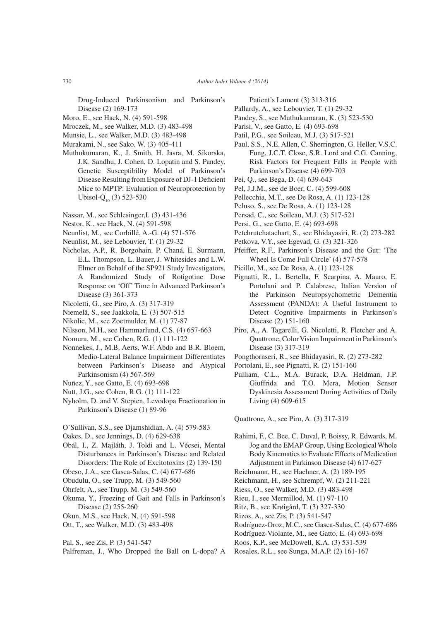Drug-Induced Parkinsonism and Parkinson's Disease (2) 169-173

- Moro, E., see Hack, N. (4) 591-598
- Mroczek, M., see Walker, M.D. (3) 483-498
- Munsie, L., see Walker, M.D. (3) 483-498
- Murakami, N., see Sako, W. (3) 405-411
- Muthukumaran, K., J. Smith, H. Jasra, M. Sikorska, J.K. Sandhu, J. Cohen, D. Lopatin and S. Pandey, Genetic Susceptibility Model of Parkinson's Disease Resulting from Exposure of DJ-1 Deficient Mice to MPTP: Evaluation of Neuroprotection by Ubisol- $Q_{10}$  (3) 523-530
- Nassar, M., see Schlesinger,I. (3) 431-436
- Nestor, K., see Hack, N. (4) 591-598
- Neunlist, M., see Corbillé, A.-G. (4) 571-576
- Neunlist, M., see Lebouvier, T. (1) 29-32
- Nicholas, A.P., R. Borgohain, P. Chaná, E. Surmann, E.L. Thompson, L. Bauer, J. Whitesides and L.W. Elmer on Behalf of the SP921 Study Investigators, A Randomized Study of Rotigotine Dose Response on 'Off' Time in Advanced Parkinson's Disease (3) 361-373
- Nicoletti, G., see Piro, A. (3) 317-319
- Niemelä, S., see Jaakkola, E. (3) 507-515
- Nikolic, M., see Zoetmulder, M. (1) 77-87
- Nilsson, M.H., see Hammarlund, C.S. (4) 657-663
- Nomura, M., see Cohen, R.G. (1) 111-122
- Nonnekes, J., M.B. Aerts, W.F. Abdo and B.R. Bloem, Medio-Lateral Balance Impairment Differentiates between Parkinson's Disease and Atypical Parkinsonism (4) 567-569
- Nuñez, Y., see Gatto, E. (4) 693-698
- Nutt, J.G., see Cohen, R.G. (1) 111-122
- Nyholm, D. and V. Stepien, Levodopa Fractionation in Parkinson's Disease (1) 89-96
- O'Sullivan, S.S., see Djamshidian, A. (4) 579-583
- Oakes, D., see Jennings, D. (4) 629-638
- Obál, I., Z. Majláth, J. Toldi and L. Vécsei, Mental Disturbances in Parkinson's Disease and Related Disorders: The Role of Excitotoxins (2) 139-150
- Obeso, J.A., see Gasca-Salas, C. (4) 677-686
- Obudulu, O., see Trupp, M. (3) 549-560
- Öhrfelt, A., see Trupp, M. (3) 549-560
- Okuma, Y., Freezing of Gait and Falls in Parkinson's Disease (2) 255-260
- Okun, M.S., see Hack, N. (4) 591-598
- Ott, T., see Walker, M.D. (3) 483-498
- Pal, S., see Zis, P. (3) 541-547
- Palfreman, J., Who Dropped the Ball on L-dopa? A
- Patient's Lament (3) 313-316
- Pallardy, A., see Lebouvier, T. (1) 29-32
- Pandey, S., see Muthukumaran, K. (3) 523-530
- Parisi, V., see Gatto, E. (4) 693-698
- Patil, P.G., see Soileau, M.J. (3) 517-521
- Paul, S.S., N.E. Allen, C. Sherrington, G. Heller, V.S.C. Fung, J.C.T. Close, S.R. Lord and C.G. Canning, Risk Factors for Frequent Falls in People with Parkinson's Disease (4) 699-703
- Pei, Q., see Bega, D. (4) 639-643
- Pel, J.J.M., see de Boer, C. (4) 599-608
- Pellecchia, M.T., see De Rosa, A. (1) 123-128
- Peluso, S., see De Rosa, A. (1) 123-128
- Persad, C., see Soileau, M.J. (3) 517-521
- Persi, G., see Gatto, E. (4) 693-698
- Petchrutchatachart, S., see Bhidayasiri, R. (2) 273-282
- Petkova, V.Y., see Egevad, G. (3) 321-326
- Pfeiffer, R.F., Parkinson's Disease and the Gut: 'The Wheel Is Come Full Circle' (4) 577-578
- Picillo, M., see De Rosa, A. (1) 123-128
- Pignatti, R., L. Bertella, F. Scarpina, A. Mauro, E. Portolani and P. Calabrese, Italian Version of the Parkinson Neuropsychometric Dementia Assessment (PANDA): A Useful Instrument to Detect Cognitive Impairments in Parkinson's Disease (2) 151-160
- Piro, A., A. Tagarelli, G. Nicoletti, R. Fletcher and A. Quattrone, Color Vision Impairment in Parkinson's Disease (3) 317-319
- Pongthornseri, R., see Bhidayasiri, R. (2) 273-282
- Portolani, E., see Pignatti, R. (2) 151-160
- Pulliam, C.L., M.A. Burack, D.A. Heldman, J.P. Giuffrida and T.O. Mera, Motion Sensor Dyskinesia Assessment During Activities of Daily Living (4) 609-615

Quattrone, A., see Piro, A. (3) 317-319

- Rahimi, F., C. Bee, C. Duval, P. Boissy, R. Edwards, M. Jog and the EMAP Group, Using Ecological Whole Body Kinematics to Evaluate Effects of Medication Adjustment in Parkinson Disease (4) 617-627
- Reichmann, H., see Haehner, A. (2) 189-195
- Reichmann, H., see Schrempf, W. (2) 211-221
- Riess, O., see Walker, M.D. (3) 483-498
- Rieu, I., see Mermillod, M. (1) 97-110
- Ritz, B., see Krøigård, T. (3) 327-330
- Rizos, A., see Zis, P. (3) 541-547
- Rodríguez-Oroz, M.C., see Gasca-Salas, C. (4) 677-686
- Rodríguez-Violante, M., see Gatto, E. (4) 693-698
- Roos, K.P., see McDowell, K.A. (3) 531-539
- Rosales, R.L., see Sunga, M.A.P. (2) 161-167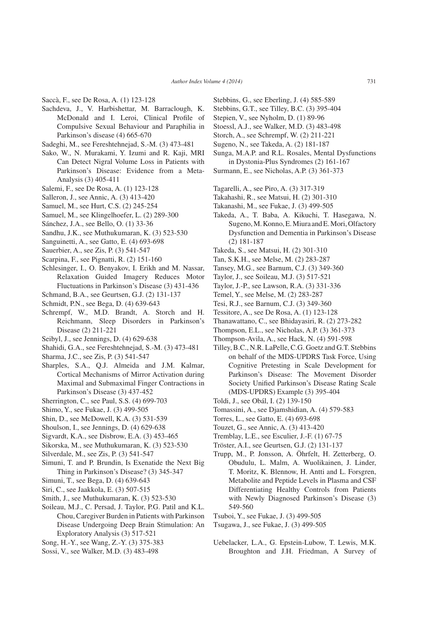Saccà, F., see De Rosa, A. (1) 123-128

- Sachdeva, J., V. Harbishettar, M. Barraclough, K. McDonald and I. Leroi, Clinical Profile of Compulsive Sexual Behaviour and Paraphilia in Parkinson's disease (4) 665-670
- Sadeghi, M., see Fereshtehnejad, S.-M. (3) 473-481
- Sako, W., N. Murakami, Y. Izumi and R. Kaji, MRI Can Detect Nigral Volume Loss in Patients with Parkinson's Disease: Evidence from a Meta-Analysis (3) 405-411
- Salemi, F., see De Rosa, A. (1) 123-128
- Salleron, J., see Annic, A. (3) 413-420
- Samuel, M., see Hurt, C.S. (2) 245-254
- Samuel, M., see Klingelhoefer, L. (2) 289-300
- Sánchez, J.A., see Bello, O. (1) 33-36
- Sandhu, J.K., see Muthukumaran, K. (3) 523-530
- Sanguinetti, A., see Gatto, E. (4) 693-698
- Sauerbier, A., see Zis, P. (3) 541-547
- Scarpina, F., see Pignatti, R. (2) 151-160
- Schlesinger, I., O. Benyakov, I. Erikh and M. Nassar, Relaxation Guided Imagery Reduces Motor Fluctuations in Parkinson's Disease (3) 431-436
- Schmand, B.A., see Geurtsen, G.J. (2) 131-137
- Schmidt, P.N., see Bega, D. (4) 639-643
- Schrempf, W., M.D. Brandt, A. Storch and H. Reichmann, Sleep Disorders in Parkinson's Disease (2) 211-221
- Seibyl, J., see Jennings, D. (4) 629-638
- Shahidi, G.A., see Fereshtehnejad, S.-M. (3) 473-481
- Sharma, J.C., see Zis, P. (3) 541-547
- Sharples, S.A., Q.J. Almeida and J.M. Kalmar, Cortical Mechanisms of Mirror Activation during Maximal and Submaximal Finger Contractions in Parkinson's Disease (3) 437-452
- Sherrington, C., see Paul, S.S. (4) 699-703
- Shimo, Y., see Fukae, J. (3) 499-505
- Shin, D., see McDowell, K.A. (3) 531-539
- Shoulson, I., see Jennings, D. (4) 629-638
- Sigvardt, K.A., see Disbrow, E.A. (3) 453-465
- Sikorska, M., see Muthukumaran, K. (3) 523-530
- Silverdale, M., see Zis, P. (3) 541-547
- Simuni, T. and P. Brundin, Is Exenatide the Next Big Thing in Parkinson's Disease? (3) 345-347
- Simuni, T., see Bega, D. (4) 639-643
- Siri, C., see Jaakkola, E. (3) 507-515
- Smith, J., see Muthukumaran, K. (3) 523-530
- Soileau, M.J., C. Persad, J. Taylor, P.G. Patil and K.L. Chou, Caregiver Burden in Patients with Parkinson Disease Undergoing Deep Brain Stimulation: An Exploratory Analysis (3) 517-521
- Song, H.-Y., see Wang, Z.-Y. (3) 375-383
- Sossi, V., see Walker, M.D. (3) 483-498
- Stebbins, G., see Eberling, J. (4) 585-589
- Stebbins, G.T., see Tilley, B.C. (3) 395-404
- Stepien, V., see Nyholm, D. (1) 89-96
- Stoessl, A.J., see Walker, M.D. (3) 483-498
- Storch, A., see Schrempf, W. (2) 211-221
- Sugeno, N., see Takeda, A. (2) 181-187
- Sunga, M.A.P. and R.L. Rosales, Mental Dysfunctions in Dystonia-Plus Syndromes (2) 161-167
- Surmann, E., see Nicholas, A.P. (3) 361-373
- Tagarelli, A., see Piro, A. (3) 317-319
- Takahashi, R., see Matsui, H. (2) 301-310
- Takanashi, M., see Fukae, J. (3) 499-505
- Takeda, A., T. Baba, A. Kikuchi, T. Hasegawa, N. Sugeno, M. Konno, E. Miura and E. Mori, Olfactory Dysfunction and Dementia in Parkinson's Disease (2) 181-187
- Takeda, S., see Matsui, H. (2) 301-310
- Tan, S.K.H., see Melse, M. (2) 283-287
- Tansey, M.G., see Barnum, C.J. (3) 349-360
- Taylor, J., see Soileau, M.J. (3) 517-521
- Taylor, J.-P., see Lawson, R.A. (3) 331-336
- Temel, Y., see Melse, M. (2) 283-287
- Tesi, R.J., see Barnum, C.J. (3) 349-360
- Tessitore, A., see De Rosa, A. (1) 123-128
- Thanawattano, C., see Bhidayasiri, R. (2) 273-282
- Thompson, E.L., see Nicholas, A.P. (3) 361-373
- Thompson-Avila, A., see Hack, N. (4) 591-598
- Tilley, B.C., N.R. LaPelle, C.G. Goetz and G.T. Stebbins on behalf of the MDS-UPDRS Task Force, Using Cognitive Pretesting in Scale Development for Parkinson's Disease: The Movement Disorder Society Unified Parkinson's Disease Rating Scale (MDS-UPDRS) Example (3) 395-404
- Toldi, J., see Obál, I. (2) 139-150
- Tomassini, A., see Djamshidian, A. (4) 579-583
- Torres, L., see Gatto, E. (4) 693-698
- Touzet, G., see Annic, A. (3) 413-420
- Tremblay, L.E., see Esculier, J.-F. (1) 67-75
- Tröster, A.I., see Geurtsen, G.J. (2) 131-137
- Trupp, M., P. Jonsson, A. Öhrfelt, H. Zetterberg, O. Obudulu, L. Malm, A. Wuolikainen, J. Linder, T. Moritz, K. Blennow, H. Antti and L. Forsgren, Metabolite and Peptide Levels in Plasma and CSF Differentiating Healthy Controls from Patients with Newly Diagnosed Parkinson's Disease (3) 549-560
- Tsuboi, Y., see Fukae, J. (3) 499-505
- Tsugawa, J., see Fukae, J. (3) 499-505
- Uebelacker, L.A., G. Epstein-Lubow, T. Lewis, M.K. Broughton and J.H. Friedman, A Survey of